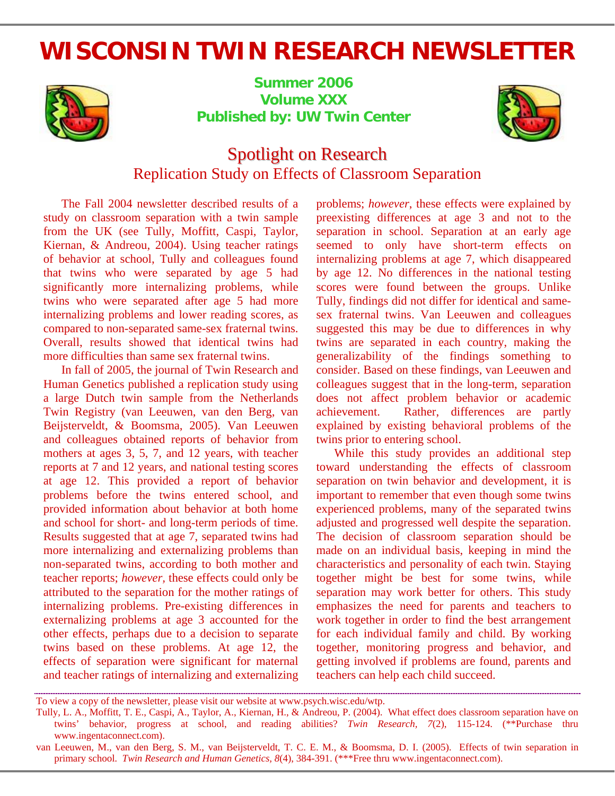# **WISCONSIN TWIN RESEARCH NEWSLETTER**



**Summer 2006 Volume XXX Published by: UW Twin Center** 



## Spotlight on Research Replication Study on Effects of Classroom Separation

The Fall 2004 newsletter described results of a study on classroom separation with a twin sample from the UK (see Tully, Moffitt, Caspi, Taylor, Kiernan, & Andreou, 2004). Using teacher ratings of behavior at school, Tully and colleagues found that twins who were separated by age 5 had significantly more internalizing problems, while twins who were separated after age 5 had more internalizing problems and lower reading scores, as compared to non-separated same-sex fraternal twins. Overall, results showed that identical twins had more difficulties than same sex fraternal twins.

In fall of 2005, the journal of Twin Research and Human Genetics published a replication study using a large Dutch twin sample from the Netherlands Twin Registry (van Leeuwen, van den Berg, van Beijsterveldt, & Boomsma, 2005). Van Leeuwen and colleagues obtained reports of behavior from mothers at ages 3, 5, 7, and 12 years, with teacher reports at 7 and 12 years, and national testing scores at age 12. This provided a report of behavior problems before the twins entered school, and provided information about behavior at both home and school for short- and long-term periods of time. Results suggested that at age 7, separated twins had more internalizing and externalizing problems than non-separated twins, according to both mother and teacher reports; *however,* these effects could only be attributed to the separation for the mother ratings of internalizing problems. Pre-existing differences in externalizing problems at age 3 accounted for the other effects, perhaps due to a decision to separate twins based on these problems. At age 12, the effects of separation were significant for maternal and teacher ratings of internalizing and externalizing problems; *however*, these effects were explained by preexisting differences at age 3 and not to the separation in school. Separation at an early age seemed to only have short-term effects on internalizing problems at age 7, which disappeared by age 12. No differences in the national testing scores were found between the groups. Unlike Tully, findings did not differ for identical and samesex fraternal twins. Van Leeuwen and colleagues suggested this may be due to differences in why twins are separated in each country, making the generalizability of the findings something to consider. Based on these findings, van Leeuwen and colleagues suggest that in the long-term, separation does not affect problem behavior or academic achievement. Rather, differences are partly explained by existing behavioral problems of the twins prior to entering school.

While this study provides an additional step toward understanding the effects of classroom separation on twin behavior and development, it is important to remember that even though some twins experienced problems, many of the separated twins adjusted and progressed well despite the separation. The decision of classroom separation should be made on an individual basis, keeping in mind the characteristics and personality of each twin. Staying together might be best for some twins, while separation may work better for others. This study emphasizes the need for parents and teachers to work together in order to find the best arrangement for each individual family and child. By working together, monitoring progress and behavior, and getting involved if problems are found, parents and teachers can help each child succeed.

To view a copy of the newsletter, please visit our website at www.psych.wisc.edu/wtp.

Tully, L. A., Moffitt, T. E., Caspi, A., Taylor, A., Kiernan, H., & Andreou, P. (2004). What effect does classroom separation have on twins' behavior, progress at school, and reading abilities? *Twin Research, 7*(2), 115-124. (\*\*Purchase thru www.ingentaconnect.com).

van Leeuwen, M., van den Berg, S. M., van Beijsterveldt, T. C. E. M., & Boomsma, D. I. (2005). Effects of twin separation in primary school. *Twin Research and Human Genetics, 8*(4), 384-391. (\*\*\*Free thru www.ingentaconnect.com).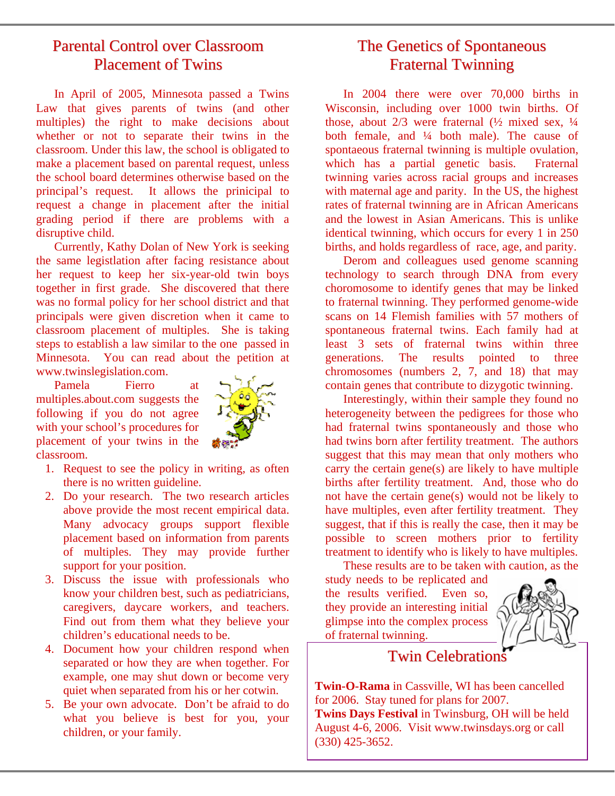### Parental Control over Classroom Placement of Twins

In April of 2005, Minnesota passed a Twins Law that gives parents of twins (and other multiples) the right to make decisions about whether or not to separate their twins in the classroom. Under this law, the school is obligated to make a placement based on parental request, unless the school board determines otherwise based on the principal's request. It allows the prinicipal to request a change in placement after the initial grading period if there are problems with a disruptive child.

Currently, Kathy Dolan of New York is seeking the same legistlation after facing resistance about her request to keep her six-year-old twin boys together in first grade. She discovered that there was no formal policy for her school district and that principals were given discretion when it came to classroom placement of multiples. She is taking steps to establish a law similar to the one passed in Minnesota. You can read about the petition at www.twinslegislation.com.

Pamela Fierro at multiples.about.com suggests the following if you do not agree with your school's procedures for placement of your twins in the classroom.



- 1. Request to see the policy in writing, as often there is no written guideline.
- 2. Do your research. The two research articles above provide the most recent empirical data. Many advocacy groups support flexible placement based on information from parents of multiples. They may provide further support for your position.
- 3. Discuss the issue with professionals who know your children best, such as pediatricians, caregivers, daycare workers, and teachers. Find out from them what they believe your children's educational needs to be.
- 4. Document how your children respond when separated or how they are when together. For example, one may shut down or become very quiet when separated from his or her cotwin.
- 5. Be your own advocate. Don't be afraid to do what you believe is best for you, your children, or your family.

### The Genetics of Spontaneous Fraternal Twinning

In 2004 there were over 70,000 births in Wisconsin, including over 1000 twin births. Of those, about  $2/3$  were fraternal  $(\frac{1}{2})$  mixed sex,  $\frac{1}{4}$ both female, and ¼ both male). The cause of spontaeous fraternal twinning is multiple ovulation, which has a partial genetic basis. Fraternal twinning varies across racial groups and increases with maternal age and parity. In the US, the highest rates of fraternal twinning are in African Americans and the lowest in Asian Americans. This is unlike identical twinning, which occurs for every 1 in 250 births, and holds regardless of race, age, and parity.

Derom and colleagues used genome scanning technology to search through DNA from every choromosome to identify genes that may be linked to fraternal twinning. They performed genome-wide scans on 14 Flemish families with 57 mothers of spontaneous fraternal twins. Each family had at least 3 sets of fraternal twins within three generations. The results pointed to three chromosomes (numbers 2, 7, and 18) that may contain genes that contribute to dizygotic twinning.

Interestingly, within their sample they found no heterogeneity between the pedigrees for those who had fraternal twins spontaneously and those who had twins born after fertility treatment. The authors suggest that this may mean that only mothers who carry the certain gene(s) are likely to have multiple births after fertility treatment. And, those who do not have the certain gene(s) would not be likely to have multiples, even after fertility treatment. They suggest, that if this is really the case, then it may be possible to screen mothers prior to fertility treatment to identify who is likely to have multiples.

These results are to be taken with caution, as the study needs to be replicated and the results verified. Even so, they provide an interesting initial glimpse into the complex process of fraternal twinning.



### Twin Celebrations

**Twin-O-Rama** in Cassville, WI has been cancelled for 2006. Stay tuned for plans for 2007. **Twins Days Festival** in Twinsburg, OH will be held August 4-6, 2006. Visit www.twinsdays.org or call (330) 425-3652.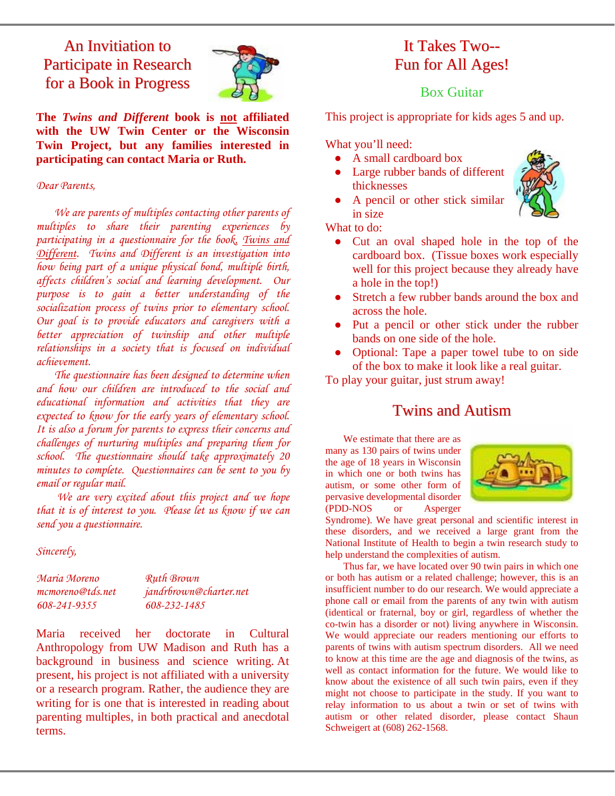### An Invitiation to Participate in Research for a Book in Progress



**The** *Twins and Different* **book is not affiliated with the UW Twin Center or the Wisconsin Twin Project, but any families interested in participating can contact Maria or Ruth.** 

#### *Dear Parents,*

*We are parents of multiples contacting other parents of multiples to share their parenting experiences by participating in a questionnaire for the book, Twins and Different. Twins and Different is an investigation into how being part of a unique physical bond, multiple birth, affects children's social and learning development. Our purpose is to gain a better understanding of the socialization process of twins prior to elementary school. Our goal is to provide educators and caregivers with a better appreciation of twinship and other multiple relationships in a society that is focused on individual achievement.* 

*The questionnaire has been designed to determine when and how our children are introduced to the social and educational information and activities that they are expected to know for the early years of elementary school. It is also a forum for parents to express their concerns and challenges of nurturing multiples and preparing them for school. The questionnaire should take approximately 20 minutes to complete. Questionnaires can be sent to you by email or regular mail.* 

 *We are very excited about this project and we hope that it is of interest to you. Please let us know if we can send you a questionnaire.* 

*Sincerely,* 

| Maria Moreno     | <b>Ruth Brown</b>      |
|------------------|------------------------|
| mcmoreno@tds.net | jandrbrown@charter.net |
| 608-241-9355     | 608-232-1485           |

Maria received her doctorate in Cultural Anthropology from UW Madison and Ruth has a background in business and science writing. At present, his project is not affiliated with a university or a research program. Rather, the audience they are writing for is one that is interested in reading about parenting multiples, in both practical and anecdotal terms.

### It Takes Two-- Fun for All Ages!

### Box Guitar

This project is appropriate for kids ages 5 and up.

What you'll need:

- A small cardboard box
- Large rubber bands of different thicknesses
- A pencil or other stick similar in size

What to do:

- Cut an oval shaped hole in the top of the cardboard box. (Tissue boxes work especially well for this project because they already have a hole in the top!)
- Stretch a few rubber bands around the box and across the hole.
- Put a pencil or other stick under the rubber bands on one side of the hole.
- Optional: Tape a paper towel tube to on side of the box to make it look like a real guitar.

To play your guitar, just strum away!

### Twins and Autism

We estimate that there are as many as 130 pairs of twins under the age of 18 years in Wisconsin in which one or both twins has autism, or some other form of pervasive developmental disorder (PDD-NOS or Asperger



Syndrome). We have great personal and scientific interest in these disorders, and we received a large grant from the National Institute of Health to begin a twin research study to help understand the complexities of autism.

Thus far, we have located over 90 twin pairs in which one or both has autism or a related challenge; however, this is an insufficient number to do our research. We would appreciate a phone call or email from the parents of any twin with autism (identical or fraternal, boy or girl, regardless of whether the co-twin has a disorder or not) living anywhere in Wisconsin. We would appreciate our readers mentioning our efforts to parents of twins with autism spectrum disorders. All we need to know at this time are the age and diagnosis of the twins, as well as contact information for the future. We would like to know about the existence of all such twin pairs, even if they might not choose to participate in the study. If you want to relay information to us about a twin or set of twins with autism or other related disorder, please contact Shaun Schweigert at (608) 262-1568.